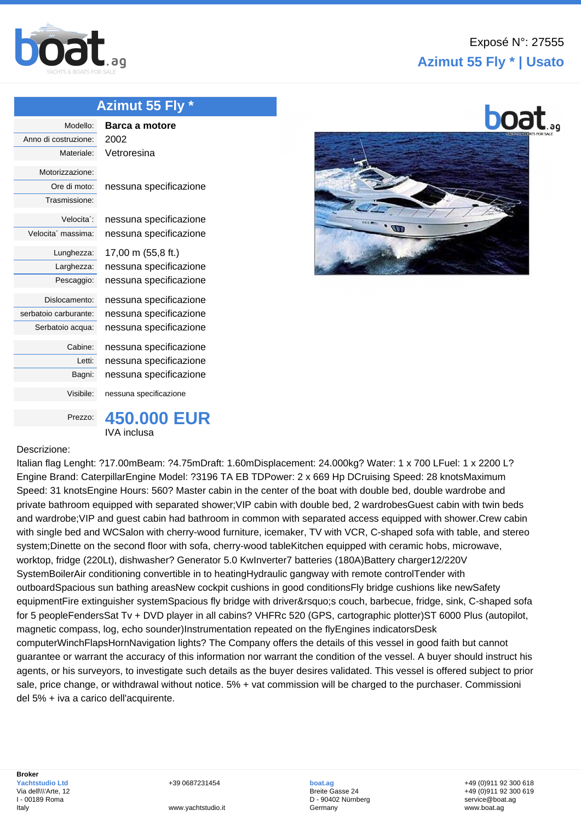

## **Azimut 55 Fly \* | Usato**

351

**boat** 

## **[Azim](http://www.boat.ag/)ut 55 Fly \***

| Modello:              | Barca a motore         |
|-----------------------|------------------------|
| Anno di costruzione:  | 2002                   |
| Materiale:            | Vetroresina            |
| Motorizzazione:       |                        |
|                       |                        |
| Ore di moto:          | nessuna specificazione |
| Trasmissione:         |                        |
| Velocita':            | nessuna specificazione |
| Velocita' massima:    | nessuna specificazione |
| Lunghezza:            | 17,00 m (55,8 ft.)     |
|                       |                        |
| Larghezza:            | nessuna specificazione |
| Pescaggio:            | nessuna specificazione |
| Dislocamento:         | nessuna specificazione |
| serbatoio carburante: | nessuna specificazione |
| Serbatoio acqua:      | nessuna specificazione |
| Cabine:               | nessuna specificazione |
| Letti:                | nessuna specificazione |
| Bagni:                | nessuna specificazione |
| Visibile:             | nessuna specificazione |
| Prezzo:               |                        |



## Descrizione:

Italian flag Lenght: ?17.00mBeam: ?4.75mDraft: 1.60mDisplacement: 24.000kg? Water: 1 x 700 LFuel: 1 x 2200 L? Engine Brand: CaterpillarEngine Model: ?3196 TA EB TDPower: 2 x 669 Hp DCruising Speed: 28 knotsMaximum Speed: 31 knotsEngine Hours: 560? Master cabin in the center of the boat with double bed, double wardrobe and private bathroom equipped with separated shower;VIP cabin with double bed, 2 wardrobesGuest cabin with twin beds and wardrobe;VIP and guest cabin had bathroom in common with separated access equipped with shower.Crew cabin with single bed and WCSalon with cherry-wood furniture, icemaker, TV with VCR, C-shaped sofa with table, and stereo system;Dinette on the second floor with sofa, cherry-wood tableKitchen equipped with ceramic hobs, microwave, worktop, fridge (220Lt), dishwasher? Generator 5.0 KwInverter7 batteries (180A)Battery charger12/220V SystemBoilerAir conditioning convertible in to heatingHydraulic gangway with remote controlTender with outboardSpacious sun bathing areasNew cockpit cushions in good conditionsFly bridge cushions like newSafety equipmentFire extinguisher systemSpacious fly bridge with driver's couch, barbecue, fridge, sink, C-shaped sofa for 5 peopleFendersSat Tv + DVD player in all cabins? VHFRc 520 (GPS, cartographic plotter)ST 6000 Plus (autopilot, magnetic compass, log, echo sounder)Instrumentation repeated on the flyEngines indicatorsDesk computerWinchFlapsHornNavigation lights? The Company offers the details of this vessel in good faith but cannot guarantee or warrant the accuracy of this information nor warrant the condition of the vessel. A buyer should instruct his agents, or his surveyors, to investigate such details as the buyer desires validated. This vessel is offered subject to prior sale, price change, or withdrawal without notice. 5% + vat commission will be charged to the purchaser. Commissioni del 5% + iva a carico dell'acquirente.

+39 0687231454

**boat.ag** Breite Gasse 24 D - 90402 Nürnberg **Germany** 

+49 (0)911 92 300 618 +49 (0)911 92 300 619 service@boat.ag www.boat.ag

www.yachtstudio.it